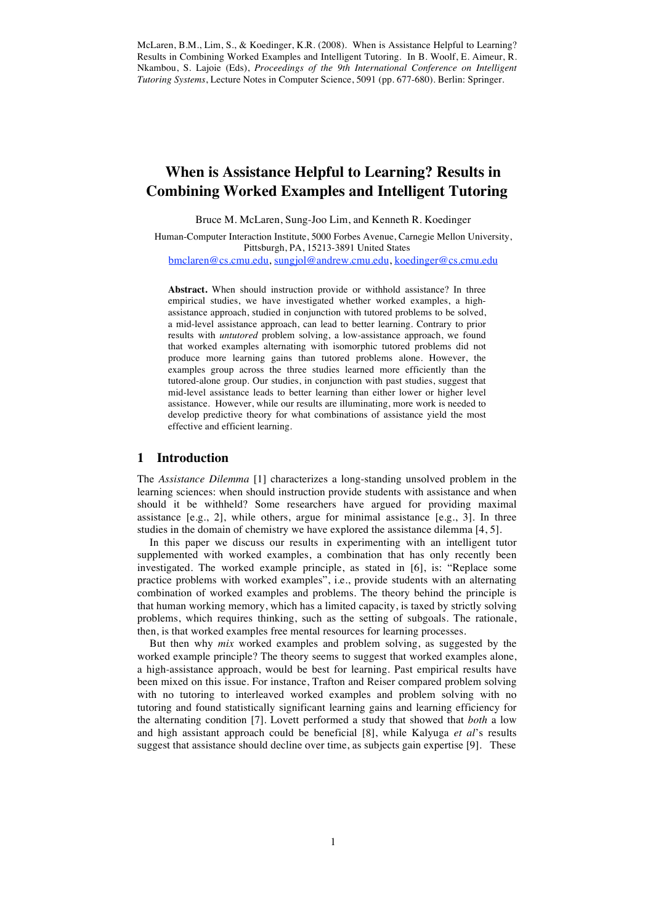McLaren, B.M., Lim, S., & Koedinger, K.R. (2008). When is Assistance Helpful to Learning? Results in Combining Worked Examples and Intelligent Tutoring. In B. Woolf, E. Aimeur, R. Nkambou, S. Lajoie (Eds), *Proceedings of the 9th International Conference on Intelligent Tutoring Systems*, Lecture Notes in Computer Science, 5091 (pp. 677-680). Berlin: Springer.

# **When is Assistance Helpful to Learning? Results in Combining Worked Examples and Intelligent Tutoring**

Bruce M. McLaren, Sung-Joo Lim, and Kenneth R. Koedinger

Human-Computer Interaction Institute, 5000 Forbes Avenue, Carnegie Mellon University, Pittsburgh, PA, 15213-3891 United States

bmclaren@cs.cmu.edu, sungjol@andrew.cmu.edu, koedinger@cs.cmu.edu

**Abstract.** When should instruction provide or withhold assistance? In three empirical studies, we have investigated whether worked examples, a highassistance approach, studied in conjunction with tutored problems to be solved, a mid-level assistance approach, can lead to better learning. Contrary to prior results with *untutored* problem solving, a low-assistance approach, we found that worked examples alternating with isomorphic tutored problems did not produce more learning gains than tutored problems alone. However, the examples group across the three studies learned more efficiently than the tutored-alone group. Our studies, in conjunction with past studies, suggest that mid-level assistance leads to better learning than either lower or higher level assistance. However, while our results are illuminating, more work is needed to develop predictive theory for what combinations of assistance yield the most effective and efficient learning.

## **1 Introduction**

The *Assistance Dilemma* [1] characterizes a long-standing unsolved problem in the learning sciences: when should instruction provide students with assistance and when should it be withheld? Some researchers have argued for providing maximal assistance [e.g., 2], while others, argue for minimal assistance [e.g., 3]. In three studies in the domain of chemistry we have explored the assistance dilemma [4, 5].

In this paper we discuss our results in experimenting with an intelligent tutor supplemented with worked examples, a combination that has only recently been investigated. The worked example principle, as stated in [6], is: "Replace some practice problems with worked examples", i.e., provide students with an alternating combination of worked examples and problems. The theory behind the principle is that human working memory, which has a limited capacity, is taxed by strictly solving problems, which requires thinking, such as the setting of subgoals. The rationale, then, is that worked examples free mental resources for learning processes.

But then why *mix* worked examples and problem solving, as suggested by the worked example principle? The theory seems to suggest that worked examples alone, a high-assistance approach, would be best for learning. Past empirical results have been mixed on this issue. For instance, Trafton and Reiser compared problem solving with no tutoring to interleaved worked examples and problem solving with no tutoring and found statistically significant learning gains and learning efficiency for the alternating condition [7]. Lovett performed a study that showed that *both* a low and high assistant approach could be beneficial [8], while Kalyuga *et al*'s results suggest that assistance should decline over time, as subjects gain expertise [9]. These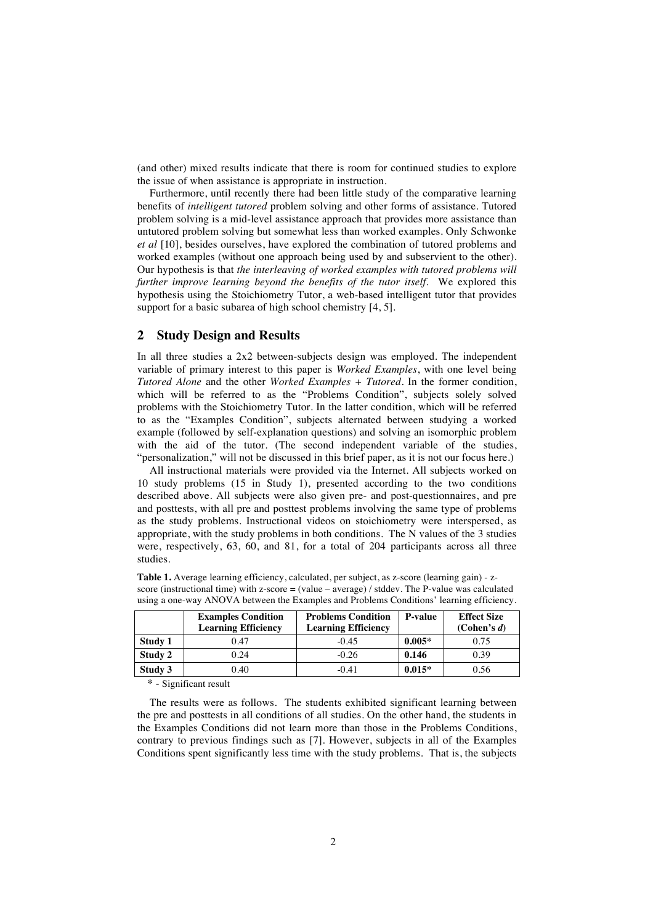(and other) mixed results indicate that there is room for continued studies to explore the issue of when assistance is appropriate in instruction.

Furthermore, until recently there had been little study of the comparative learning benefits of *intelligent tutored* problem solving and other forms of assistance. Tutored problem solving is a mid-level assistance approach that provides more assistance than untutored problem solving but somewhat less than worked examples. Only Schwonke *et al* [10], besides ourselves, have explored the combination of tutored problems and worked examples (without one approach being used by and subservient to the other). Our hypothesis is that *the interleaving of worked examples with tutored problems will further improve learning beyond the benefits of the tutor itself.* We explored this hypothesis using the Stoichiometry Tutor, a web-based intelligent tutor that provides support for a basic subarea of high school chemistry [4, 5].

## **2 Study Design and Results**

In all three studies a 2x2 between-subjects design was employed. The independent variable of primary interest to this paper is *Worked Examples*, with one level being *Tutored Alone* and the other *Worked Examples + Tutored*. In the former condition, which will be referred to as the "Problems Condition", subjects solely solved problems with the Stoichiometry Tutor. In the latter condition, which will be referred to as the "Examples Condition", subjects alternated between studying a worked example (followed by self-explanation questions) and solving an isomorphic problem with the aid of the tutor. (The second independent variable of the studies, "personalization," will not be discussed in this brief paper, as it is not our focus here.)

All instructional materials were provided via the Internet. All subjects worked on 10 study problems (15 in Study 1), presented according to the two conditions described above. All subjects were also given pre- and post-questionnaires, and pre and posttests, with all pre and posttest problems involving the same type of problems as the study problems. Instructional videos on stoichiometry were interspersed, as appropriate, with the study problems in both conditions. The N values of the 3 studies were, respectively, 63, 60, and 81, for a total of 204 participants across all three studies.

| using a one-way ANOVA between the Examples and Problems Conditions' learning efficiency. |                            |                            |                |                    |
|------------------------------------------------------------------------------------------|----------------------------|----------------------------|----------------|--------------------|
|                                                                                          | <b>Examples Condition</b>  | <b>Problems Condition</b>  | <b>P-value</b> | <b>Effect Size</b> |
|                                                                                          | <b>Learning Efficiency</b> | <b>Learning Efficiency</b> |                | (Cohen's $d$ )     |
| Study 1                                                                                  | 0.47                       | $-0.45$                    | $0.005*$       | 0.75               |

**Study 2 0.24 1 1 1 1 1 1 0.3 9 Study 3 0.40 1 1 1 1 0.015\* 1 0.56** 

**Table 1.** Average learning efficiency, calculated, per subject, as z-score (learning gain) - zscore (instructional time) with z-score = (value – average) / stddev. The P-value was calculated using a one-way ANOVA between the Examples and Problems Conditions' learning efficiency.

**\*** - Significant result

The results were as follows. The students exhibited significant learning between the pre and posttests in all conditions of all studies. On the other hand, the students in the Examples Conditions did not learn more than those in the Problems Conditions, contrary to previous findings such as [7]. However, subjects in all of the Examples Conditions spent significantly less time with the study problems. That is, the subjects